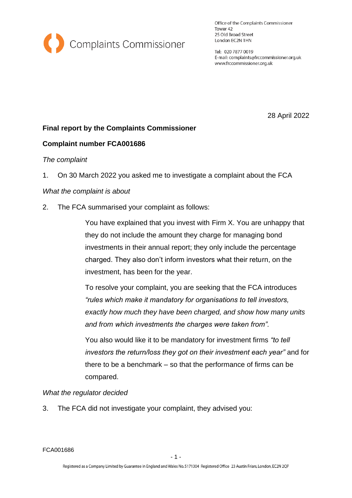

Office of the Complaints Commissioner Tower 42 25 Old Broad Street London EC2N 1HN

Tel: 020 7877 0019 E-mail: complaints@frccommissioner.org.uk www.frccommissioner.org.uk

28 April 2022

## **Final report by the Complaints Commissioner**

## **Complaint number FCA001686**

### *The complaint*

1. On 30 March 2022 you asked me to investigate a complaint about the FCA

### *What the complaint is about*

2. The FCA summarised your complaint as follows:

You have explained that you invest with Firm X. You are unhappy that they do not include the amount they charge for managing bond investments in their annual report; they only include the percentage charged. They also don't inform investors what their return, on the investment, has been for the year.

To resolve your complaint, you are seeking that the FCA introduces *"rules which make it mandatory for organisations to tell investors, exactly how much they have been charged, and show how many units and from which investments the charges were taken from".* 

You also would like it to be mandatory for investment firms *"to tell investors the return/loss they got on their investment each year"* and for there to be a benchmark – so that the performance of firms can be compared.

#### *What the regulator decided*

3. The FCA did not investigate your complaint, they advised you: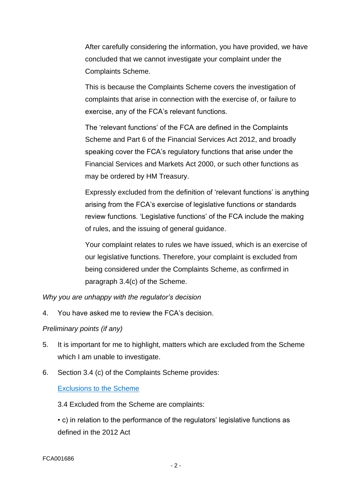After carefully considering the information, you have provided, we have concluded that we cannot investigate your complaint under the Complaints Scheme.

This is because the Complaints Scheme covers the investigation of complaints that arise in connection with the exercise of, or failure to exercise, any of the FCA's relevant functions.

The 'relevant functions' of the FCA are defined in the Complaints Scheme and Part 6 of the Financial Services Act 2012, and broadly speaking cover the FCA's regulatory functions that arise under the Financial Services and Markets Act 2000, or such other functions as may be ordered by HM Treasury.

Expressly excluded from the definition of 'relevant functions' is anything arising from the FCA's exercise of legislative functions or standards review functions. 'Legislative functions' of the FCA include the making of rules, and the issuing of general guidance.

Your complaint relates to rules we have issued, which is an exercise of our legislative functions. Therefore, your complaint is excluded from being considered under the Complaints Scheme, as confirmed in paragraph 3.4(c) of the Scheme.

*Why you are unhappy with the regulator's decision*

4. You have asked me to review the FCA's decision.

# *Preliminary points (if any)*

- 5. It is important for me to highlight, matters which are excluded from the Scheme which I am unable to investigate.
- 6. Section 3.4 (c) of the Complaints Scheme provides:

# Exclusions to the Scheme

3.4 Excluded from the Scheme are complaints:

• c) in relation to the performance of the regulators' legislative functions as defined in the 2012 Act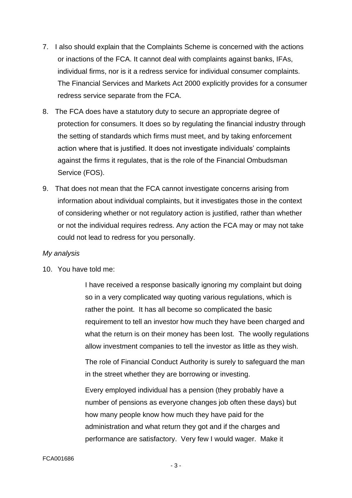- 7. I also should explain that the Complaints Scheme is concerned with the actions or inactions of the FCA. It cannot deal with complaints against banks, IFAs, individual firms, nor is it a redress service for individual consumer complaints. The Financial Services and Markets Act 2000 explicitly provides for a consumer redress service separate from the FCA.
- 8. The FCA does have a statutory duty to secure an appropriate degree of protection for consumers. It does so by regulating the financial industry through the setting of standards which firms must meet, and by taking enforcement action where that is justified. It does not investigate individuals' complaints against the firms it regulates, that is the role of the Financial Ombudsman Service (FOS).
- 9. That does not mean that the FCA cannot investigate concerns arising from information about individual complaints, but it investigates those in the context of considering whether or not regulatory action is justified, rather than whether or not the individual requires redress. Any action the FCA may or may not take could not lead to redress for you personally.

## *My analysis*

10. You have told me:

I have received a response basically ignoring my complaint but doing so in a very complicated way quoting various regulations, which is rather the point. It has all become so complicated the basic requirement to tell an investor how much they have been charged and what the return is on their money has been lost. The woolly regulations allow investment companies to tell the investor as little as they wish.

The role of Financial Conduct Authority is surely to safeguard the man in the street whether they are borrowing or investing.

Every employed individual has a pension (they probably have a number of pensions as everyone changes job often these days) but how many people know how much they have paid for the administration and what return they got and if the charges and performance are satisfactory. Very few I would wager. Make it